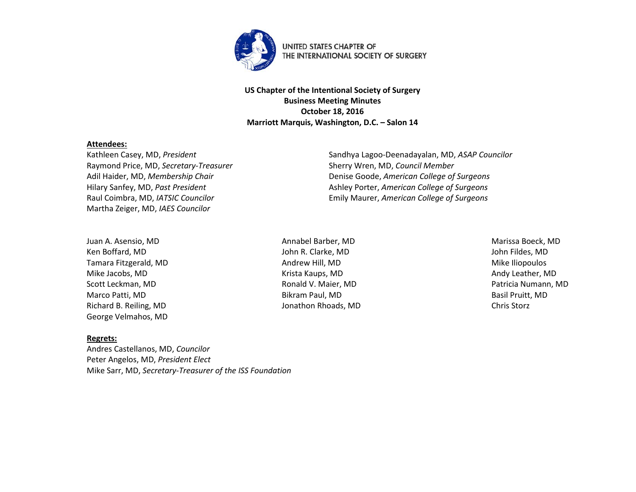

**US Chapter of the Intentional Society of Surgery Business Meeting Minutes October 18, 2016 Marriott Marquis, Washington, D.C. – Salon 14**

## **Attendees:**

Raymond Price, MD, *Secretary-Treasurer* Sherry Wren, MD, *Council Member* Martha Zeiger, MD, *IAES Councilor*

Kathleen Casey, MD, *President* Sandhya Lagoo-Deenadayalan, MD, *ASAP Councilor* Adil Haider, MD, *Membership Chair* Denise Goode, *American College of Surgeons* Hilary Sanfey, MD, *Past President* Ashley Porter, *American College of Surgeons* Raul Coimbra, MD, *IATSIC Councilor* Emily Maurer, *American College of Surgeons*

Juan A. Asensio, MD **Annabel Barber, MD** Annabel Barber, MD **Marissa Boeck, MD** Marissa Boeck, MD Ken Boffard, MD John R. Clarke, MD John Fildes, MD Tamara Fitzgerald, MD **Andrew Hill, MD** Andrew Hill, MD **Andrew Hill, MD** Mike Iliopoulos Mike Jacobs, MD **Andy Leather, MD** Krista Kaups, MD **Andy Leather, MD** Andy Leather, MD Scott Leckman, MD **Scott Leckman, MD** Ronald V. Maier, MD **Ronald V. Maier, MD** Patricia Numann, MD Marco Patti, MD Bikram Paul, MD Bikram Paul, MD Basil Pruitt, MD Richard B. Reiling, MD Jonathon Rhoads, MD Chris Storz George Velmahos, MD

## **Regrets:**

Andres Castellanos, MD, *Councilor* Peter Angelos, MD, *President Elect* Mike Sarr, MD, *Secretary-Treasurer of the ISS Foundation*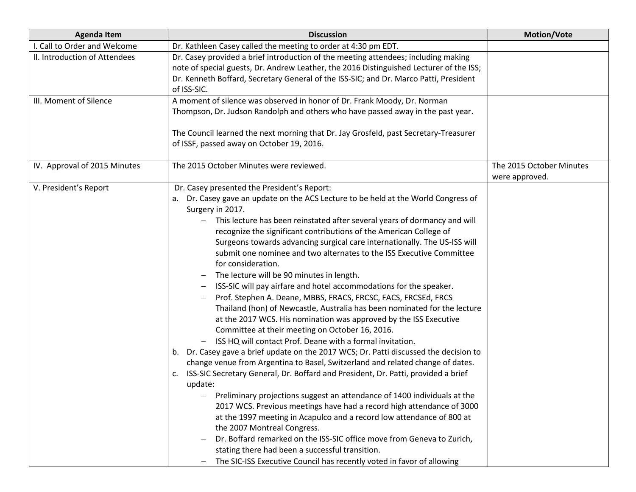| <b>Agenda Item</b>            | <b>Discussion</b>                                                                                                                                                                                                                                                                                                                                                                                                                                                                                                                                                                                                                                                                                                                                                                                                                                                                                                                                                                                                                                                                                                                                                                                                                                                                                                                                                                                                                                                                                                                                                                                                                                                                              | <b>Motion/Vote</b>                         |
|-------------------------------|------------------------------------------------------------------------------------------------------------------------------------------------------------------------------------------------------------------------------------------------------------------------------------------------------------------------------------------------------------------------------------------------------------------------------------------------------------------------------------------------------------------------------------------------------------------------------------------------------------------------------------------------------------------------------------------------------------------------------------------------------------------------------------------------------------------------------------------------------------------------------------------------------------------------------------------------------------------------------------------------------------------------------------------------------------------------------------------------------------------------------------------------------------------------------------------------------------------------------------------------------------------------------------------------------------------------------------------------------------------------------------------------------------------------------------------------------------------------------------------------------------------------------------------------------------------------------------------------------------------------------------------------------------------------------------------------|--------------------------------------------|
| I. Call to Order and Welcome  | Dr. Kathleen Casey called the meeting to order at 4:30 pm EDT.                                                                                                                                                                                                                                                                                                                                                                                                                                                                                                                                                                                                                                                                                                                                                                                                                                                                                                                                                                                                                                                                                                                                                                                                                                                                                                                                                                                                                                                                                                                                                                                                                                 |                                            |
| II. Introduction of Attendees | Dr. Casey provided a brief introduction of the meeting attendees; including making<br>note of special guests, Dr. Andrew Leather, the 2016 Distinguished Lecturer of the ISS;<br>Dr. Kenneth Boffard, Secretary General of the ISS-SIC; and Dr. Marco Patti, President<br>of ISS-SIC.                                                                                                                                                                                                                                                                                                                                                                                                                                                                                                                                                                                                                                                                                                                                                                                                                                                                                                                                                                                                                                                                                                                                                                                                                                                                                                                                                                                                          |                                            |
| III. Moment of Silence        | A moment of silence was observed in honor of Dr. Frank Moody, Dr. Norman<br>Thompson, Dr. Judson Randolph and others who have passed away in the past year.<br>The Council learned the next morning that Dr. Jay Grosfeld, past Secretary-Treasurer<br>of ISSF, passed away on October 19, 2016.                                                                                                                                                                                                                                                                                                                                                                                                                                                                                                                                                                                                                                                                                                                                                                                                                                                                                                                                                                                                                                                                                                                                                                                                                                                                                                                                                                                               |                                            |
| IV. Approval of 2015 Minutes  | The 2015 October Minutes were reviewed.                                                                                                                                                                                                                                                                                                                                                                                                                                                                                                                                                                                                                                                                                                                                                                                                                                                                                                                                                                                                                                                                                                                                                                                                                                                                                                                                                                                                                                                                                                                                                                                                                                                        | The 2015 October Minutes<br>were approved. |
| V. President's Report         | Dr. Casey presented the President's Report:<br>Dr. Casey gave an update on the ACS Lecture to be held at the World Congress of<br>а.<br>Surgery in 2017.<br>This lecture has been reinstated after several years of dormancy and will<br>recognize the significant contributions of the American College of<br>Surgeons towards advancing surgical care internationally. The US-ISS will<br>submit one nominee and two alternates to the ISS Executive Committee<br>for consideration.<br>The lecture will be 90 minutes in length.<br>ISS-SIC will pay airfare and hotel accommodations for the speaker.<br>Prof. Stephen A. Deane, MBBS, FRACS, FRCSC, FACS, FRCSEd, FRCS<br>Thailand (hon) of Newcastle, Australia has been nominated for the lecture<br>at the 2017 WCS. His nomination was approved by the ISS Executive<br>Committee at their meeting on October 16, 2016.<br>ISS HQ will contact Prof. Deane with a formal invitation.<br>b. Dr. Casey gave a brief update on the 2017 WCS; Dr. Patti discussed the decision to<br>change venue from Argentina to Basel, Switzerland and related change of dates.<br>c. ISS-SIC Secretary General, Dr. Boffard and President, Dr. Patti, provided a brief<br>update:<br>Preliminary projections suggest an attendance of 1400 individuals at the<br>2017 WCS. Previous meetings have had a record high attendance of 3000<br>at the 1997 meeting in Acapulco and a record low attendance of 800 at<br>the 2007 Montreal Congress.<br>Dr. Boffard remarked on the ISS-SIC office move from Geneva to Zurich,<br>stating there had been a successful transition.<br>The SIC-ISS Executive Council has recently voted in favor of allowing |                                            |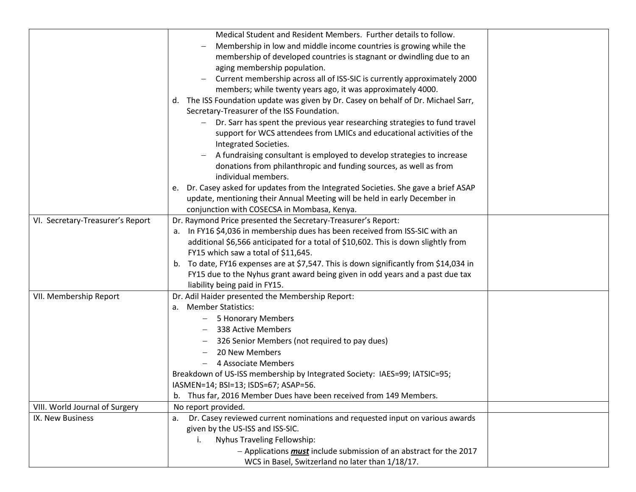|                                  | Medical Student and Resident Members. Further details to follow.                                |  |
|----------------------------------|-------------------------------------------------------------------------------------------------|--|
|                                  | Membership in low and middle income countries is growing while the                              |  |
|                                  | membership of developed countries is stagnant or dwindling due to an                            |  |
|                                  | aging membership population.                                                                    |  |
|                                  | Current membership across all of ISS-SIC is currently approximately 2000                        |  |
|                                  | members; while twenty years ago, it was approximately 4000.                                     |  |
|                                  | The ISS Foundation update was given by Dr. Casey on behalf of Dr. Michael Sarr,<br>d.           |  |
|                                  | Secretary-Treasurer of the ISS Foundation.                                                      |  |
|                                  | Dr. Sarr has spent the previous year researching strategies to fund travel                      |  |
|                                  | support for WCS attendees from LMICs and educational activities of the<br>Integrated Societies. |  |
|                                  |                                                                                                 |  |
|                                  | A fundraising consultant is employed to develop strategies to increase                          |  |
|                                  | donations from philanthropic and funding sources, as well as from<br>individual members.        |  |
|                                  | Dr. Casey asked for updates from the Integrated Societies. She gave a brief ASAP<br>e.          |  |
|                                  | update, mentioning their Annual Meeting will be held in early December in                       |  |
|                                  | conjunction with COSECSA in Mombasa, Kenya.                                                     |  |
| VI. Secretary-Treasurer's Report | Dr. Raymond Price presented the Secretary-Treasurer's Report:                                   |  |
|                                  | a. In FY16 \$4,036 in membership dues has been received from ISS-SIC with an                    |  |
|                                  | additional \$6,566 anticipated for a total of \$10,602. This is down slightly from              |  |
|                                  | FY15 which saw a total of \$11,645.                                                             |  |
|                                  | To date, FY16 expenses are at \$7,547. This is down significantly from \$14,034 in<br>b.        |  |
|                                  | FY15 due to the Nyhus grant award being given in odd years and a past due tax                   |  |
|                                  | liability being paid in FY15.                                                                   |  |
| VII. Membership Report           | Dr. Adil Haider presented the Membership Report:                                                |  |
|                                  | <b>Member Statistics:</b><br>a.                                                                 |  |
|                                  | 5 Honorary Members                                                                              |  |
|                                  | 338 Active Members                                                                              |  |
|                                  | 326 Senior Members (not required to pay dues)                                                   |  |
|                                  | 20 New Members                                                                                  |  |
|                                  | 4 Associate Members                                                                             |  |
|                                  | Breakdown of US-ISS membership by Integrated Society: IAES=99; IATSIC=95;                       |  |
|                                  | IASMEN=14; BSI=13; ISDS=67; ASAP=56.                                                            |  |
|                                  | Thus far, 2016 Member Dues have been received from 149 Members.                                 |  |
| VIII. World Journal of Surgery   | No report provided.                                                                             |  |
| IX. New Business                 | Dr. Casey reviewed current nominations and requested input on various awards<br>a.              |  |
|                                  | given by the US-ISS and ISS-SIC.                                                                |  |
|                                  | Nyhus Traveling Fellowship:<br>İ.                                                               |  |
|                                  | - Applications <b>must</b> include submission of an abstract for the 2017                       |  |
|                                  | WCS in Basel, Switzerland no later than 1/18/17.                                                |  |